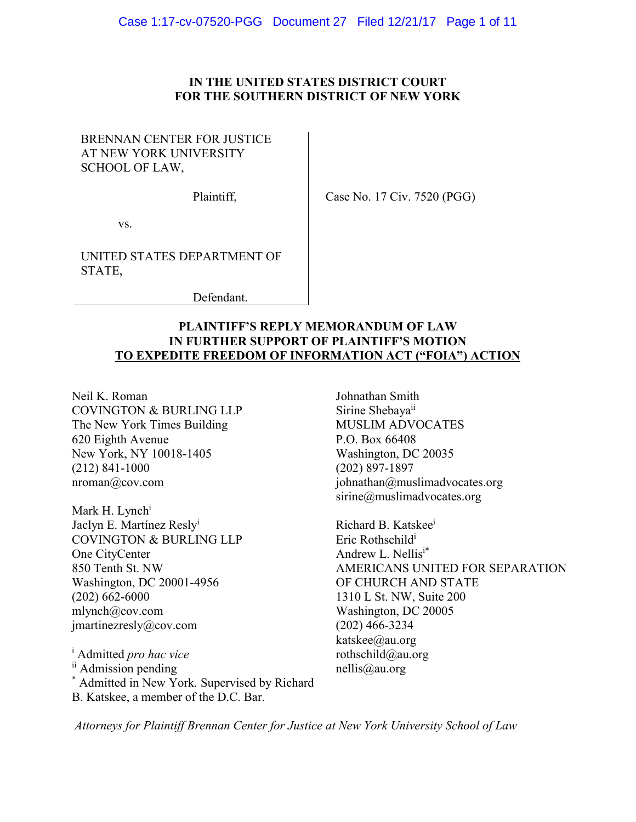# **IN THE UNITED STATES DISTRICT COURT FOR THE SOUTHERN DISTRICT OF NEW YORK**

# BRENNAN CENTER FOR JUSTICE AT NEW YORK UNIVERSITY SCHOOL OF LAW,

Plaintiff,

Case No. 17 Civ. 7520 (PGG)

vs.

UNITED STATES DEPARTMENT OF STATE,

Defendant.

# **PLAINTIFF'S REPLY MEMORANDUM OF LAW IN FURTHER SUPPORT OF PLAINTIFF'S MOTION TO EXPEDITE FREEDOM OF INFORMATION ACT ("FOIA") ACTION**

Neil K. Roman COVINGTON & BURLING LLP The New York Times Building 620 Eighth Avenue New York, NY 10018-1405 (212) 841-1000 nroman@cov.com

Mark H. Lynch<sup>i</sup> Jaclyn E. Martínez Resly<sup>i</sup> COVINGTON & BURLING LLP One CityCenter 850 Tenth St. NW Washington, DC 20001-4956 (202) 662-6000 mlynch@cov.com jmartinezresly@cov.com

<sup>i</sup> Admitted *pro hac vice* ii Admission pending \* Admitted in New York. Supervised by Richard B. Katskee, a member of the D.C. Bar.

Johnathan Smith Sirine Shebaya<sup>ii</sup> MUSLIM ADVOCATES P.O. Box 66408 Washington, DC 20035 (202) 897-1897  $johnathan@muslimadvocates.org$ sirine@muslimadvocates.org

Richard B. Katskeei Eric Rothschildi Andrew L. Nellis<sup>i\*</sup> AMERICANS UNITED FOR SEPARATION OF CHURCH AND STATE 1310 L St. NW, Suite 200 Washington, DC 20005 (202) 466-3234 katskee@au.org rothschild@au.org nellis@au.org

*Attorneys for Plaintiff Brennan Center for Justice at New York University School of Law*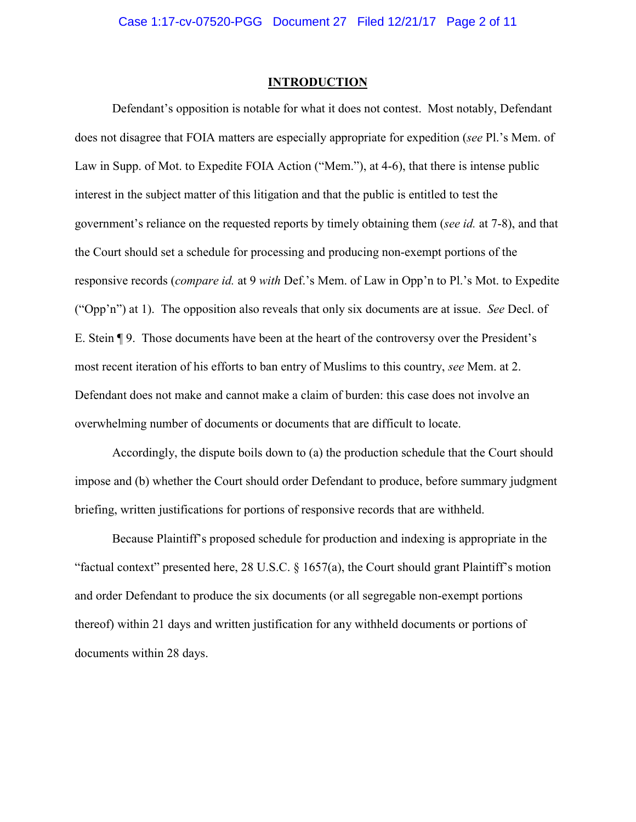#### **INTRODUCTION**

Defendant's opposition is notable for what it does not contest. Most notably, Defendant does not disagree that FOIA matters are especially appropriate for expedition (*see* Pl.'s Mem. of Law in Supp. of Mot. to Expedite FOIA Action ("Mem."), at 4-6), that there is intense public interest in the subject matter of this litigation and that the public is entitled to test the government's reliance on the requested reports by timely obtaining them (*see id.* at 7-8), and that the Court should set a schedule for processing and producing non-exempt portions of the responsive records (*compare id.* at 9 *with* Def.'s Mem. of Law in Opp'n to Pl.'s Mot. to Expedite ("Opp'n") at 1). The opposition also reveals that only six documents are at issue. *See* Decl. of E. Stein ¶ 9. Those documents have been at the heart of the controversy over the President's most recent iteration of his efforts to ban entry of Muslims to this country, *see* Mem. at 2. Defendant does not make and cannot make a claim of burden: this case does not involve an overwhelming number of documents or documents that are difficult to locate.

Accordingly, the dispute boils down to (a) the production schedule that the Court should impose and (b) whether the Court should order Defendant to produce, before summary judgment briefing, written justifications for portions of responsive records that are withheld.

Because Plaintiff's proposed schedule for production and indexing is appropriate in the "factual context" presented here, 28 U.S.C.  $\S$  1657(a), the Court should grant Plaintiff's motion and order Defendant to produce the six documents (or all segregable non-exempt portions thereof) within 21 days and written justification for any withheld documents or portions of documents within 28 days.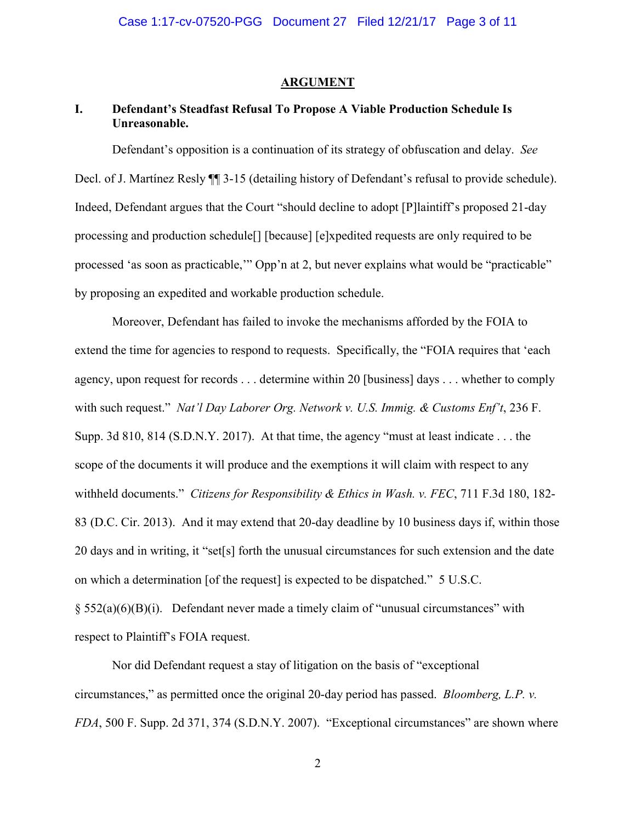### **ARGUMENT**

# **I. Defendant's Steadfast Refusal To Propose A Viable Production Schedule Is Unreasonable.**

Defendant's opposition is a continuation of its strategy of obfuscation and delay. *See*  Decl. of J. Martínez Resly  $\P$  3-15 (detailing history of Defendant's refusal to provide schedule). Indeed, Defendant argues that the Court "should decline to adopt [P]laintiff's proposed 21-day processing and production schedule[] [because] [e]xpedited requests are only required to be processed 'as soon as practicable,'" Opp'n at 2, but never explains what would be "practicable" by proposing an expedited and workable production schedule.

Moreover, Defendant has failed to invoke the mechanisms afforded by the FOIA to extend the time for agencies to respond to requests. Specifically, the "FOIA requires that 'each agency, upon request for records . . . determine within 20 [business] days . . . whether to comply with such request." *Nat'l Day Laborer Org. Network v. U.S. Immig. & Customs Enf't*, 236 F. Supp. 3d 810, 814 (S.D.N.Y. 2017). At that time, the agency "must at least indicate . . . the scope of the documents it will produce and the exemptions it will claim with respect to any withheld documents." *Citizens for Responsibility & Ethics in Wash. v. FEC*, 711 F.3d 180, 182- 83 (D.C. Cir. 2013). And it may extend that 20-day deadline by 10 business days if, within those 20 days and in writing, it "set[s] forth the unusual circumstances for such extension and the date on which a determination [of the request] is expected to be dispatched." 5 U.S.C.  $\S$  552(a)(6)(B)(i). Defendant never made a timely claim of "unusual circumstances" with respect to Plaintiff's FOIA request.

Nor did Defendant request a stay of litigation on the basis of "exceptional circumstances," as permitted once the original 20-day period has passed. *Bloomberg, L.P. v. FDA*, 500 F. Supp. 2d 371, 374 (S.D.N.Y. 2007). "Exceptional circumstances" are shown where

2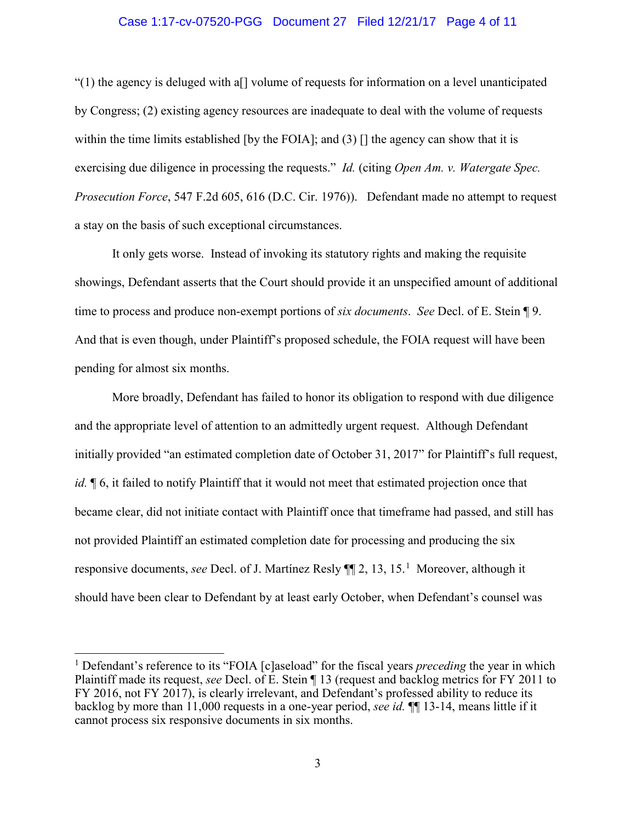#### Case 1:17-cv-07520-PGG Document 27 Filed 12/21/17 Page 4 of 11

"(1) the agency is deluged with a[] volume of requests for information on a level unanticipated by Congress; (2) existing agency resources are inadequate to deal with the volume of requests within the time limits established [by the FOIA]; and (3)  $\Box$  the agency can show that it is exercising due diligence in processing the requests." *Id.* (citing *Open Am. v. Watergate Spec. Prosecution Force*, 547 F.2d 605, 616 (D.C. Cir. 1976)). Defendant made no attempt to request a stay on the basis of such exceptional circumstances.

It only gets worse. Instead of invoking its statutory rights and making the requisite showings, Defendant asserts that the Court should provide it an unspecified amount of additional time to process and produce non-exempt portions of *six documents*. *See* Decl. of E. Stein ¶ 9. And that is even though, under Plaintiff's proposed schedule, the FOIA request will have been pending for almost six months.

More broadly, Defendant has failed to honor its obligation to respond with due diligence and the appropriate level of attention to an admittedly urgent request. Although Defendant initially provided "an estimated completion date of October 31, 2017" for Plaintiff's full request, *id.* ¶ 6, it failed to notify Plaintiff that it would not meet that estimated projection once that became clear, did not initiate contact with Plaintiff once that timeframe had passed, and still has not provided Plaintiff an estimated completion date for processing and producing the six responsive documents, *see* Decl. of J. Martínez Resly ¶¶ 2, 13, 15.<sup>1</sup> Moreover, although it should have been clear to Defendant by at least early October, when Defendant's counsel was

<sup>&</sup>lt;sup>1</sup> Defendant's reference to its "FOIA [c]aseload" for the fiscal years *preceding* the year in which Plaintiff made its request, *see* Decl. of E. Stein ¶ 13 (request and backlog metrics for FY 2011 to FY 2016, not FY 2017), is clearly irrelevant, and Defendant's professed ability to reduce its backlog by more than 11,000 requests in a one-year period, *see id.* ¶¶ 13-14, means little if it cannot process six responsive documents in six months.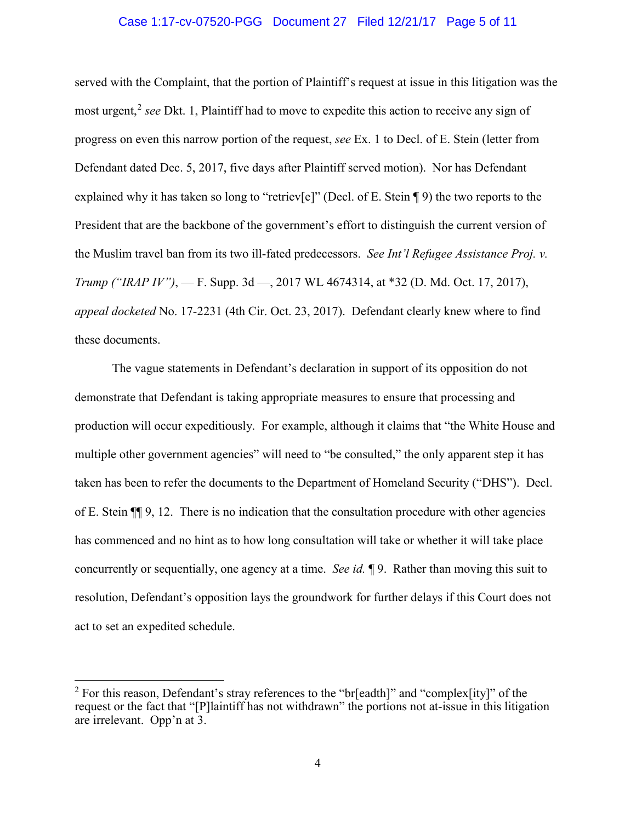### Case 1:17-cv-07520-PGG Document 27 Filed 12/21/17 Page 5 of 11

served with the Complaint, that the portion of Plaintiff's request at issue in this litigation was the most urgent,<sup>2</sup> see Dkt. 1, Plaintiff had to move to expedite this action to receive any sign of progress on even this narrow portion of the request, *see* Ex. 1 to Decl. of E. Stein (letter from Defendant dated Dec. 5, 2017, five days after Plaintiff served motion). Nor has Defendant explained why it has taken so long to "retriev[e]" (Decl. of E. Stein ¶ 9) the two reports to the President that are the backbone of the government's effort to distinguish the current version of the Muslim travel ban from its two ill-fated predecessors. *See Int'l Refugee Assistance Proj. v. Trump ("IRAP IV")*, — F. Supp. 3d —, 2017 WL 4674314, at \*32 (D. Md. Oct. 17, 2017), *appeal docketed* No. 17-2231 (4th Cir. Oct. 23, 2017). Defendant clearly knew where to find these documents.

The vague statements in Defendant's declaration in support of its opposition do not demonstrate that Defendant is taking appropriate measures to ensure that processing and production will occur expeditiously. For example, although it claims that "the White House and multiple other government agencies" will need to "be consulted," the only apparent step it has taken has been to refer the documents to the Department of Homeland Security ("DHS"). Decl. of E. Stein ¶¶ 9, 12. There is no indication that the consultation procedure with other agencies has commenced and no hint as to how long consultation will take or whether it will take place concurrently or sequentially, one agency at a time. *See id.* ¶ 9. Rather than moving this suit to resolution, Defendant's opposition lays the groundwork for further delays if this Court does not act to set an expedited schedule.

<sup>&</sup>lt;sup>2</sup> For this reason, Defendant's stray references to the "br[eadth]" and "complex[ity]" of the request or the fact that "[P]laintiff has not withdrawn" the portions not at-issue in this litigation are irrelevant. Opp'n at 3.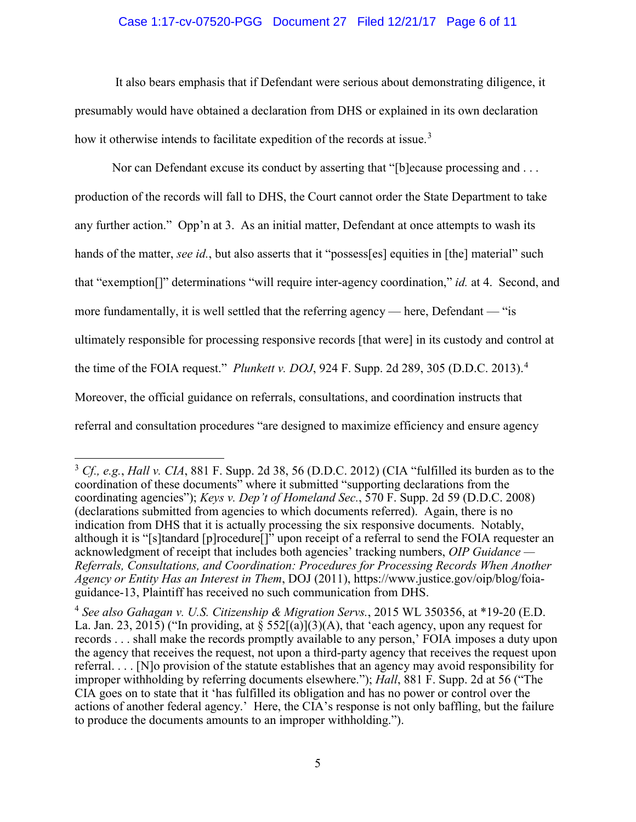### Case 1:17-cv-07520-PGG Document 27 Filed 12/21/17 Page 6 of 11

It also bears emphasis that if Defendant were serious about demonstrating diligence, it presumably would have obtained a declaration from DHS or explained in its own declaration how it otherwise intends to facilitate expedition of the records at issue.<sup>3</sup>

Nor can Defendant excuse its conduct by asserting that "[b]ecause processing and . . . production of the records will fall to DHS, the Court cannot order the State Department to take any further action." Opp'n at 3. As an initial matter, Defendant at once attempts to wash its hands of the matter, *see id.*, but also asserts that it "possess[es] equities in [the] material" such that "exemption[]" determinations "will require inter-agency coordination," *id.* at 4. Second, and more fundamentally, it is well settled that the referring agency — here, Defendant — "is ultimately responsible for processing responsive records [that were] in its custody and control at the time of the FOIA request." *Plunkett v. DOJ*, 924 F. Supp. 2d 289, 305 (D.D.C. 2013).<sup>4</sup> Moreover, the official guidance on referrals, consultations, and coordination instructs that referral and consultation procedures "are designed to maximize efficiency and ensure agency

<sup>3</sup> *Cf., e.g.*, *Hall v. CIA*, 881 F. Supp. 2d 38, 56 (D.D.C. 2012) (CIA "fulfilled its burden as to the coordination of these documents" where it submitted "supporting declarations from the coordinating agencies"); *Keys v. Dep't of Homeland Sec.*, 570 F. Supp. 2d 59 (D.D.C. 2008) (declarations submitted from agencies to which documents referred). Again, there is no indication from DHS that it is actually processing the six responsive documents. Notably, although it is "[s]tandard [p]rocedure[]" upon receipt of a referral to send the FOIA requester an acknowledgment of receipt that includes both agencies' tracking numbers, *OIP Guidance — Referrals, Consultations, and Coordination: Procedures for Processing Records When Another Agency or Entity Has an Interest in Them*, DOJ (2011), https://www.justice.gov/oip/blog/foiaguidance-13, Plaintiff has received no such communication from DHS.

<sup>4</sup> *See also Gahagan v. U.S. Citizenship & Migration Servs.*, 2015 WL 350356, at \*19-20 (E.D. La. Jan. 23, 2015) ("In providing, at  $\S 552[(a)](3)(A)$ , that 'each agency, upon any request for records . . . shall make the records promptly available to any person,' FOIA imposes a duty upon the agency that receives the request, not upon a third-party agency that receives the request upon referral. . . . [N]o provision of the statute establishes that an agency may avoid responsibility for improper withholding by referring documents elsewhere."); *Hall*, 881 F. Supp. 2d at 56 ("The CIA goes on to state that it 'has fulfilled its obligation and has no power or control over the actions of another federal agency.' Here, the CIA's response is not only baffling, but the failure to produce the documents amounts to an improper withholding.").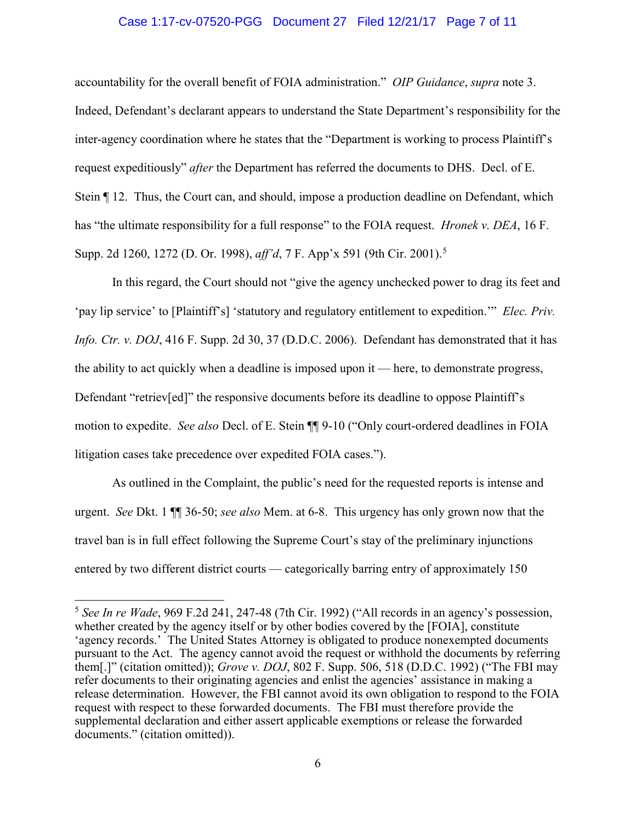### Case 1:17-cv-07520-PGG Document 27 Filed 12/21/17 Page 7 of 11

accountability for the overall benefit of FOIA administration." *OIP Guidance*, *supra* note 3. Indeed, Defendant's declarant appears to understand the State Department's responsibility for the inter-agency coordination where he states that the "Department is working to process Plaintiff's request expeditiously" *after* the Department has referred the documents to DHS. Decl. of E. Stein ¶ 12. Thus, the Court can, and should, impose a production deadline on Defendant, which has "the ultimate responsibility for a full response" to the FOIA request. *Hronek v. DEA*, 16 F. Supp. 2d 1260, 1272 (D. Or. 1998), *aff'd*, 7 F. App'x 591 (9th Cir. 2001).<sup>5</sup>

In this regard, the Court should not "give the agency unchecked power to drag its feet and 'pay lip service' to [Plaintiff's] 'statutory and regulatory entitlement to expedition.'" *Elec. Priv. Info. Ctr. v. DOJ*, 416 F. Supp. 2d 30, 37 (D.D.C. 2006). Defendant has demonstrated that it has the ability to act quickly when a deadline is imposed upon it — here, to demonstrate progress, Defendant "retriev[ed]" the responsive documents before its deadline to oppose Plaintiff's motion to expedite. *See also* Decl. of E. Stein ¶¶ 9-10 ("Only court-ordered deadlines in FOIA litigation cases take precedence over expedited FOIA cases.").

As outlined in the Complaint, the public's need for the requested reports is intense and urgent. *See* Dkt. 1 ¶¶ 36-50; *see also* Mem. at 6-8. This urgency has only grown now that the travel ban is in full effect following the Supreme Court's stay of the preliminary injunctions entered by two different district courts — categorically barring entry of approximately 150

<sup>5</sup> *See In re Wade*, 969 F.2d 241, 247-48 (7th Cir. 1992) ("All records in an agency's possession, whether created by the agency itself or by other bodies covered by the [FOIA], constitute 'agency records.' The United States Attorney is obligated to produce nonexempted documents pursuant to the Act. The agency cannot avoid the request or withhold the documents by referring them[.]" (citation omitted)); *Grove v. DOJ*, 802 F. Supp. 506, 518 (D.D.C. 1992) ("The FBI may refer documents to their originating agencies and enlist the agencies' assistance in making a release determination. However, the FBI cannot avoid its own obligation to respond to the FOIA request with respect to these forwarded documents. The FBI must therefore provide the supplemental declaration and either assert applicable exemptions or release the forwarded documents." (citation omitted)).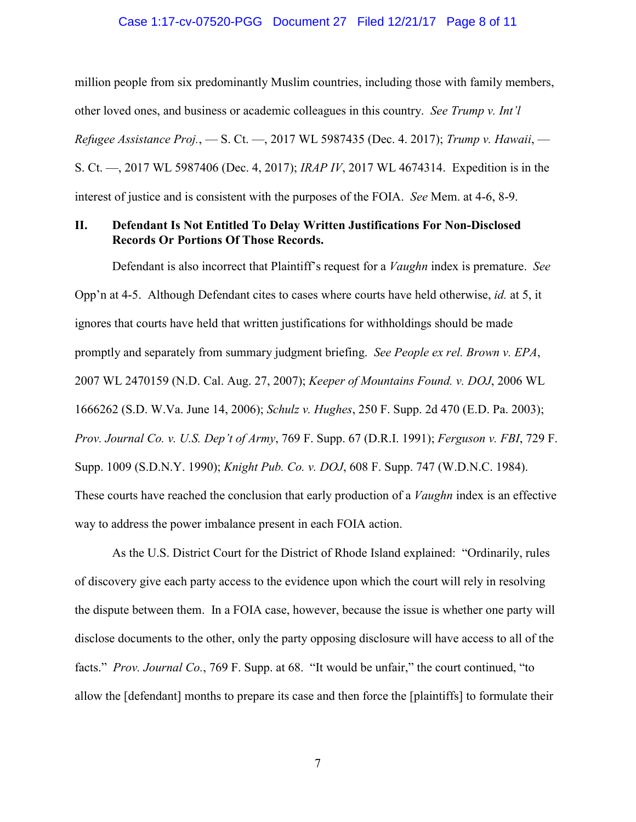# Case 1:17-cv-07520-PGG Document 27 Filed 12/21/17 Page 8 of 11

million people from six predominantly Muslim countries, including those with family members, other loved ones, and business or academic colleagues in this country. *See Trump v. Int'l Refugee Assistance Proj.*, — S. Ct. —, 2017 WL 5987435 (Dec. 4. 2017); *Trump v. Hawaii*, — S. Ct. —, 2017 WL 5987406 (Dec. 4, 2017); *IRAP IV*, 2017 WL 4674314. Expedition is in the interest of justice and is consistent with the purposes of the FOIA. *See* Mem. at 4-6, 8-9.

## **II. Defendant Is Not Entitled To Delay Written Justifications For Non-Disclosed Records Or Portions Of Those Records.**

Defendant is also incorrect that Plaintiff's request for a *Vaughn* index is premature. *See*  Opp'n at 4-5. Although Defendant cites to cases where courts have held otherwise, *id.* at 5, it ignores that courts have held that written justifications for withholdings should be made promptly and separately from summary judgment briefing. *See People ex rel. Brown v. EPA*, 2007 WL 2470159 (N.D. Cal. Aug. 27, 2007); *Keeper of Mountains Found. v. DOJ*, 2006 WL 1666262 (S.D. W.Va. June 14, 2006); *Schulz v. Hughes*, 250 F. Supp. 2d 470 (E.D. Pa. 2003); *Prov. Journal Co. v. U.S. Dep't of Army*, 769 F. Supp. 67 (D.R.I. 1991); *Ferguson v. FBI*, 729 F. Supp. 1009 (S.D.N.Y. 1990); *Knight Pub. Co. v. DOJ*, 608 F. Supp. 747 (W.D.N.C. 1984). These courts have reached the conclusion that early production of a *Vaughn* index is an effective way to address the power imbalance present in each FOIA action.

As the U.S. District Court for the District of Rhode Island explained: "Ordinarily, rules of discovery give each party access to the evidence upon which the court will rely in resolving the dispute between them. In a FOIA case, however, because the issue is whether one party will disclose documents to the other, only the party opposing disclosure will have access to all of the facts." *Prov. Journal Co.*, 769 F. Supp. at 68. "It would be unfair," the court continued, "to allow the [defendant] months to prepare its case and then force the [plaintiffs] to formulate their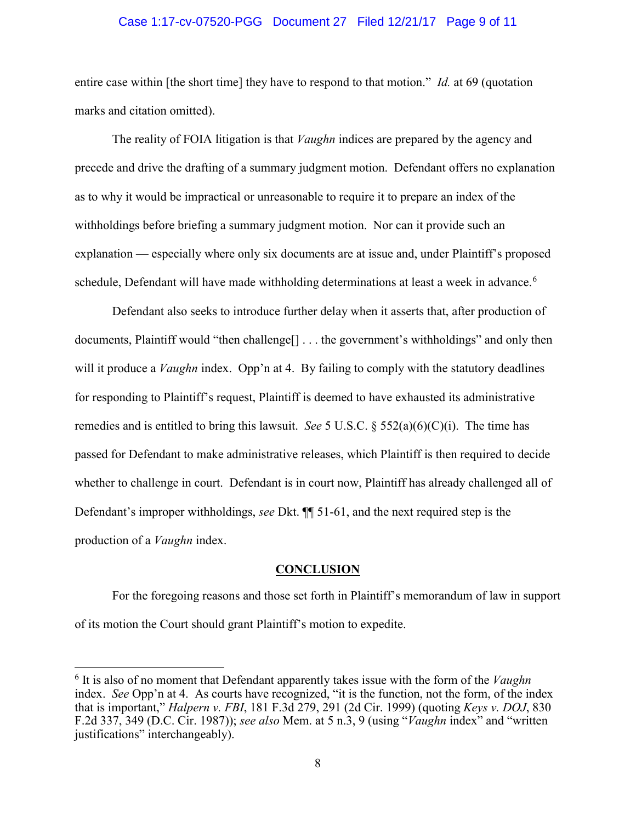#### Case 1:17-cv-07520-PGG Document 27 Filed 12/21/17 Page 9 of 11

entire case within [the short time] they have to respond to that motion." *Id.* at 69 (quotation marks and citation omitted).

The reality of FOIA litigation is that *Vaughn* indices are prepared by the agency and precede and drive the drafting of a summary judgment motion. Defendant offers no explanation as to why it would be impractical or unreasonable to require it to prepare an index of the withholdings before briefing a summary judgment motion. Nor can it provide such an explanation — especially where only six documents are at issue and, under Plaintiff's proposed schedule, Defendant will have made withholding determinations at least a week in advance.<sup>6</sup>

Defendant also seeks to introduce further delay when it asserts that, after production of documents, Plaintiff would "then challenge<sup>[]</sup> . . . the government's withholdings" and only then will it produce a *Vaughn* index. Opp'n at 4. By failing to comply with the statutory deadlines for responding to Plaintiff's request, Plaintiff is deemed to have exhausted its administrative remedies and is entitled to bring this lawsuit. *See* 5 U.S.C. § 552(a)(6)(C)(i). The time has passed for Defendant to make administrative releases, which Plaintiff is then required to decide whether to challenge in court. Defendant is in court now, Plaintiff has already challenged all of Defendant's improper withholdings, *see* Dkt. ¶¶ 51-61, and the next required step is the production of a *Vaughn* index.

#### **CONCLUSION**

For the foregoing reasons and those set forth in Plaintiff's memorandum of law in support of its motion the Court should grant Plaintiff's motion to expedite.

<sup>6</sup> It is also of no moment that Defendant apparently takes issue with the form of the *Vaughn* index. *See* Opp'n at 4. As courts have recognized, "it is the function, not the form, of the index that is important," *Halpern v. FBI*, 181 F.3d 279, 291 (2d Cir. 1999) (quoting *Keys v. DOJ*, 830 F.2d 337, 349 (D.C. Cir. 1987)); *see also* Mem. at 5 n.3, 9 (using "*Vaughn* index" and "written justifications" interchangeably).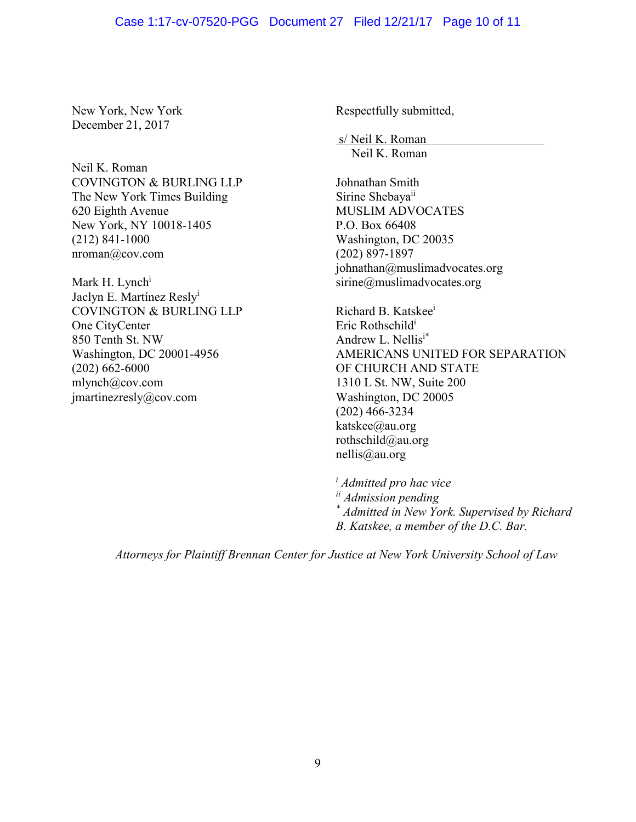### Case 1:17-cv-07520-PGG Document 27 Filed 12/21/17 Page 10 of 11

New York, New York December 21, 2017

Neil K. Roman COVINGTON & BURLING LLP The New York Times Building 620 Eighth Avenue New York, NY 10018-1405 (212) 841-1000 nroman@cov.com

Mark H. Lynch<sup>i</sup> Jaclyn E. Martínez Reslyi COVINGTON & BURLING LLP One CityCenter 850 Tenth St. NW Washington, DC 20001-4956 (202) 662-6000 mlynch@cov.com jmartinezresly@cov.com

Respectfully submitted,

s/ Neil K. Roman Neil K. Roman

Johnathan Smith Sirine Shebaya<sup>ii</sup> MUSLIM ADVOCATES P.O. Box 66408 Washington, DC 20035 (202) 897-1897 johnathan@muslimadvocates.org sirine@muslimadvocates.org

Richard B. Katskeei Eric Rothschildi Andrew L. Nellisi\* AMERICANS UNITED FOR SEPARATION OF CHURCH AND STATE 1310 L St. NW, Suite 200 Washington, DC 20005 (202) 466-3234 katskee@au.org rothschild@au.org nellis@au.org

*<sup>i</sup> Admitted pro hac vice ii Admission pending \* Admitted in New York. Supervised by Richard B. Katskee, a member of the D.C. Bar.*

*Attorneys for Plaintiff Brennan Center for Justice at New York University School of Law*